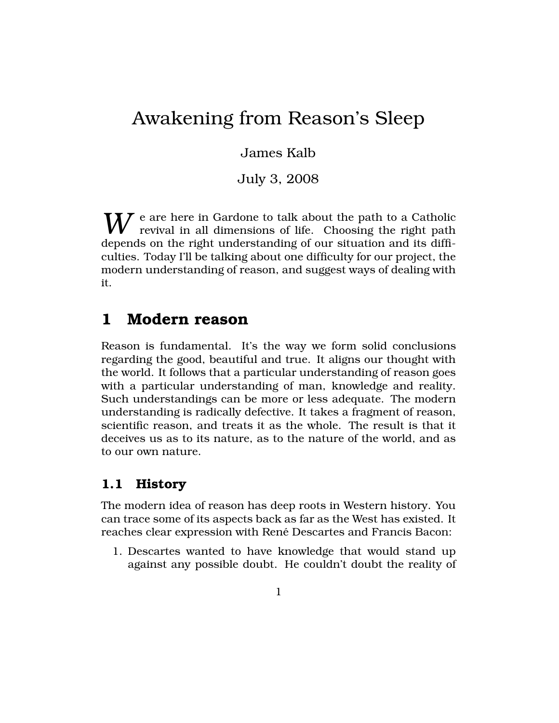# Awakening from Reason's Sleep

James Kalb

July 3, 2008

W e are here in Gardone to talk about the path to a Catholic revival in all dimensions of life. Choosing the right path depends on the right understanding of our situation and its difficulties. Today I'll be talking about one difficulty for our project, the modern understanding of reason, and suggest ways of dealing with it.

## 1 Modern reason

Reason is fundamental. It's the way we form solid conclusions regarding the good, beautiful and true. It aligns our thought with the world. It follows that a particular understanding of reason goes with a particular understanding of man, knowledge and reality. Such understandings can be more or less adequate. The modern understanding is radically defective. It takes a fragment of reason, scientific reason, and treats it as the whole. The result is that it deceives us as to its nature, as to the nature of the world, and as to our own nature.

## 1.1 History

The modern idea of reason has deep roots in Western history. You can trace some of its aspects back as far as the West has existed. It reaches clear expression with René Descartes and Francis Bacon:

1. Descartes wanted to have knowledge that would stand up against any possible doubt. He couldn't doubt the reality of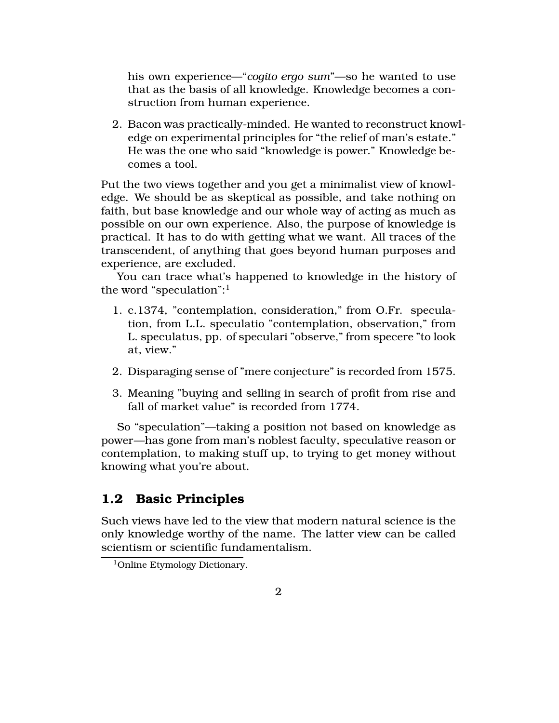his own experience—"*cogito ergo sum*"—so he wanted to use that as the basis of all knowledge. Knowledge becomes a construction from human experience.

2. Bacon was practically-minded. He wanted to reconstruct knowledge on experimental principles for "the relief of man's estate." He was the one who said "knowledge is power." Knowledge becomes a tool.

Put the two views together and you get a minimalist view of knowledge. We should be as skeptical as possible, and take nothing on faith, but base knowledge and our whole way of acting as much as possible on our own experience. Also, the purpose of knowledge is practical. It has to do with getting what we want. All traces of the transcendent, of anything that goes beyond human purposes and experience, are excluded.

You can trace what's happened to knowledge in the history of the word "speculation":<sup>1</sup>

- 1. c.1374, "contemplation, consideration," from O.Fr. speculation, from L.L. speculatio "contemplation, observation," from L. speculatus, pp. of speculari "observe," from specere "to look at, view."
- 2. Disparaging sense of "mere conjecture" is recorded from 1575.
- 3. Meaning "buying and selling in search of profit from rise and fall of market value" is recorded from 1774.

So "speculation"—taking a position not based on knowledge as power—has gone from man's noblest faculty, speculative reason or contemplation, to making stuff up, to trying to get money without knowing what you're about.

## 1.2 Basic Principles

Such views have led to the view that modern natural science is the only knowledge worthy of the name. The latter view can be called scientism or scientific fundamentalism.

<sup>&</sup>lt;sup>1</sup>Online Etymology Dictionary.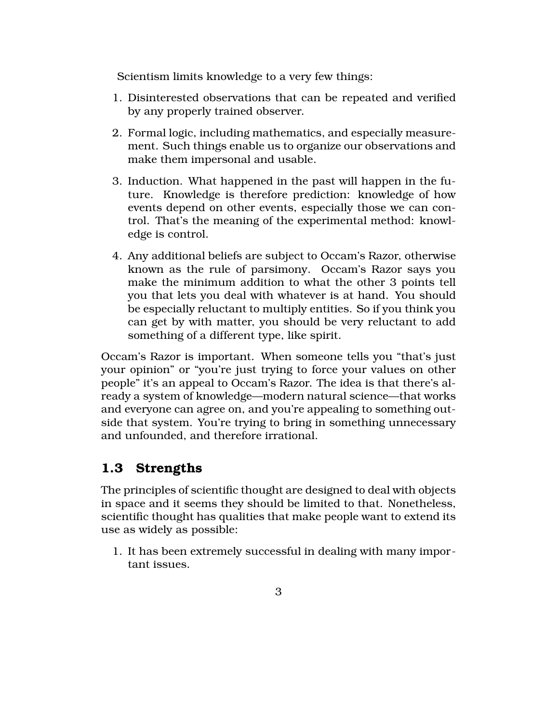Scientism limits knowledge to a very few things:

- 1. Disinterested observations that can be repeated and verified by any properly trained observer.
- 2. Formal logic, including mathematics, and especially measurement. Such things enable us to organize our observations and make them impersonal and usable.
- 3. Induction. What happened in the past will happen in the future. Knowledge is therefore prediction: knowledge of how events depend on other events, especially those we can control. That's the meaning of the experimental method: knowledge is control.
- 4. Any additional beliefs are subject to Occam's Razor, otherwise known as the rule of parsimony. Occam's Razor says you make the minimum addition to what the other 3 points tell you that lets you deal with whatever is at hand. You should be especially reluctant to multiply entities. So if you think you can get by with matter, you should be very reluctant to add something of a different type, like spirit.

Occam's Razor is important. When someone tells you "that's just your opinion" or "you're just trying to force your values on other people" it's an appeal to Occam's Razor. The idea is that there's already a system of knowledge—modern natural science—that works and everyone can agree on, and you're appealing to something outside that system. You're trying to bring in something unnecessary and unfounded, and therefore irrational.

## 1.3 Strengths

The principles of scientific thought are designed to deal with objects in space and it seems they should be limited to that. Nonetheless, scientific thought has qualities that make people want to extend its use as widely as possible:

1. It has been extremely successful in dealing with many important issues.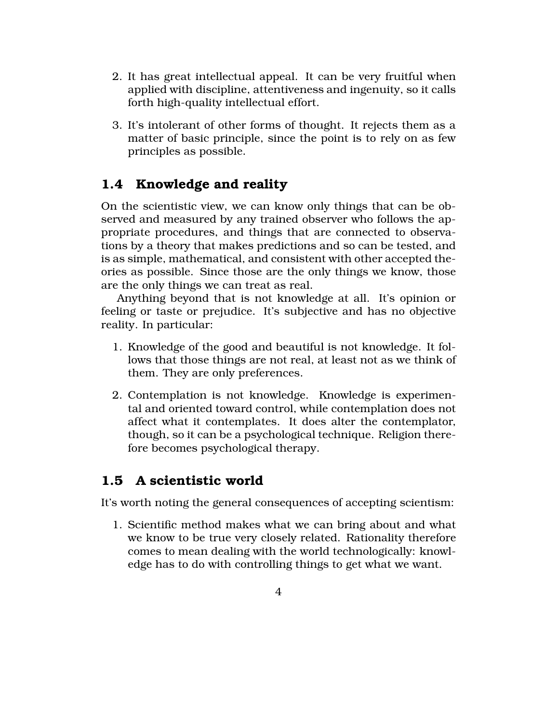- 2. It has great intellectual appeal. It can be very fruitful when applied with discipline, attentiveness and ingenuity, so it calls forth high-quality intellectual effort.
- 3. It's intolerant of other forms of thought. It rejects them as a matter of basic principle, since the point is to rely on as few principles as possible.

## 1.4 Knowledge and reality

On the scientistic view, we can know only things that can be observed and measured by any trained observer who follows the appropriate procedures, and things that are connected to observations by a theory that makes predictions and so can be tested, and is as simple, mathematical, and consistent with other accepted theories as possible. Since those are the only things we know, those are the only things we can treat as real.

Anything beyond that is not knowledge at all. It's opinion or feeling or taste or prejudice. It's subjective and has no objective reality. In particular:

- 1. Knowledge of the good and beautiful is not knowledge. It follows that those things are not real, at least not as we think of them. They are only preferences.
- 2. Contemplation is not knowledge. Knowledge is experimental and oriented toward control, while contemplation does not affect what it contemplates. It does alter the contemplator, though, so it can be a psychological technique. Religion therefore becomes psychological therapy.

## 1.5 A scientistic world

It's worth noting the general consequences of accepting scientism:

1. Scientific method makes what we can bring about and what we know to be true very closely related. Rationality therefore comes to mean dealing with the world technologically: knowledge has to do with controlling things to get what we want.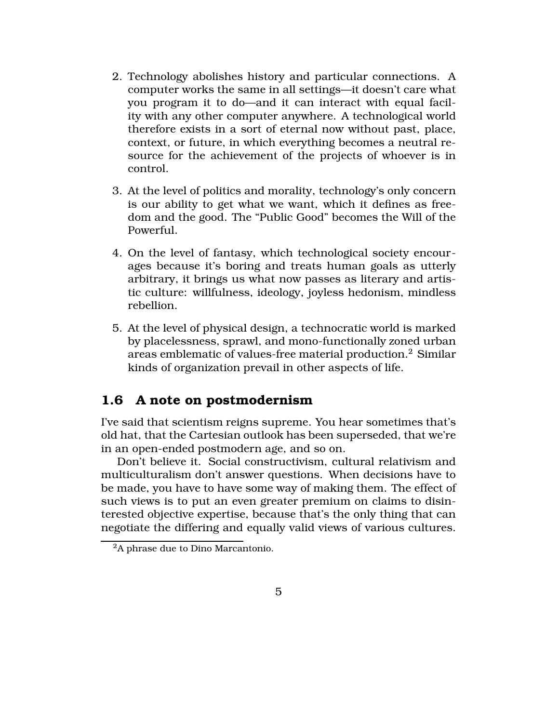- 2. Technology abolishes history and particular connections. A computer works the same in all settings—it doesn't care what you program it to do—and it can interact with equal facility with any other computer anywhere. A technological world therefore exists in a sort of eternal now without past, place, context, or future, in which everything becomes a neutral resource for the achievement of the projects of whoever is in control.
- 3. At the level of politics and morality, technology's only concern is our ability to get what we want, which it defines as freedom and the good. The "Public Good" becomes the Will of the Powerful.
- 4. On the level of fantasy, which technological society encourages because it's boring and treats human goals as utterly arbitrary, it brings us what now passes as literary and artistic culture: willfulness, ideology, joyless hedonism, mindless rebellion.
- 5. At the level of physical design, a technocratic world is marked by placelessness, sprawl, and mono-functionally zoned urban areas emblematic of values-free material production.<sup>2</sup> Similar kinds of organization prevail in other aspects of life.

## 1.6 A note on postmodernism

I've said that scientism reigns supreme. You hear sometimes that's old hat, that the Cartesian outlook has been superseded, that we're in an open-ended postmodern age, and so on.

Don't believe it. Social constructivism, cultural relativism and multiculturalism don't answer questions. When decisions have to be made, you have to have some way of making them. The effect of such views is to put an even greater premium on claims to disinterested objective expertise, because that's the only thing that can negotiate the differing and equally valid views of various cultures.

<sup>&</sup>lt;sup>2</sup>A phrase due to Dino Marcantonio.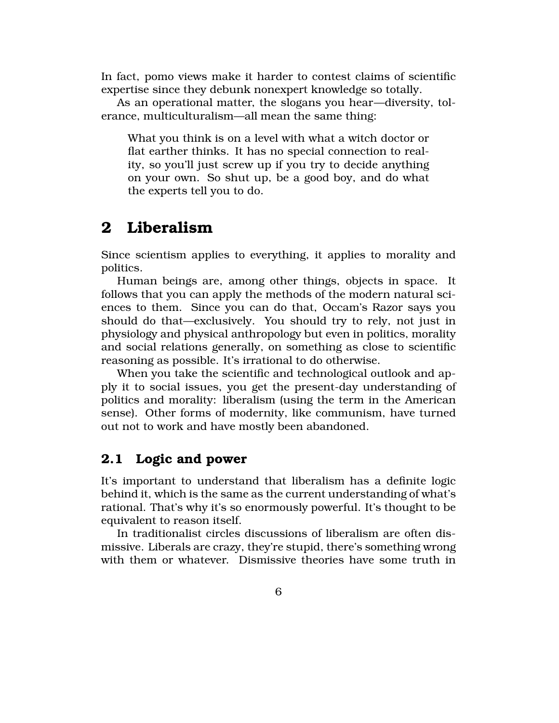In fact, pomo views make it harder to contest claims of scientific expertise since they debunk nonexpert knowledge so totally.

As an operational matter, the slogans you hear—diversity, tolerance, multiculturalism—all mean the same thing:

What you think is on a level with what a witch doctor or flat earther thinks. It has no special connection to reality, so you'll just screw up if you try to decide anything on your own. So shut up, be a good boy, and do what the experts tell you to do.

# 2 Liberalism

Since scientism applies to everything, it applies to morality and politics.

Human beings are, among other things, objects in space. It follows that you can apply the methods of the modern natural sciences to them. Since you can do that, Occam's Razor says you should do that—exclusively. You should try to rely, not just in physiology and physical anthropology but even in politics, morality and social relations generally, on something as close to scientific reasoning as possible. It's irrational to do otherwise.

When you take the scientific and technological outlook and apply it to social issues, you get the present-day understanding of politics and morality: liberalism (using the term in the American sense). Other forms of modernity, like communism, have turned out not to work and have mostly been abandoned.

## 2.1 Logic and power

It's important to understand that liberalism has a definite logic behind it, which is the same as the current understanding of what's rational. That's why it's so enormously powerful. It's thought to be equivalent to reason itself.

In traditionalist circles discussions of liberalism are often dismissive. Liberals are crazy, they're stupid, there's something wrong with them or whatever. Dismissive theories have some truth in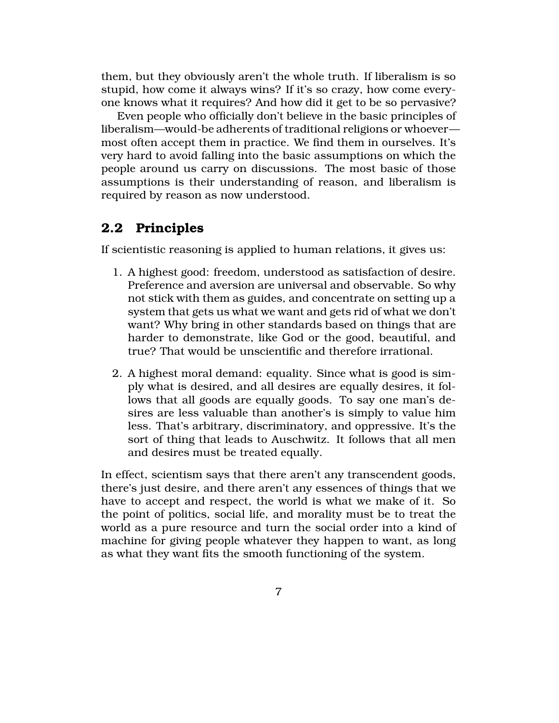them, but they obviously aren't the whole truth. If liberalism is so stupid, how come it always wins? If it's so crazy, how come everyone knows what it requires? And how did it get to be so pervasive?

Even people who officially don't believe in the basic principles of liberalism—would-be adherents of traditional religions or whoever most often accept them in practice. We find them in ourselves. It's very hard to avoid falling into the basic assumptions on which the people around us carry on discussions. The most basic of those assumptions is their understanding of reason, and liberalism is required by reason as now understood.

## 2.2 Principles

If scientistic reasoning is applied to human relations, it gives us:

- 1. A highest good: freedom, understood as satisfaction of desire. Preference and aversion are universal and observable. So why not stick with them as guides, and concentrate on setting up a system that gets us what we want and gets rid of what we don't want? Why bring in other standards based on things that are harder to demonstrate, like God or the good, beautiful, and true? That would be unscientific and therefore irrational.
- 2. A highest moral demand: equality. Since what is good is simply what is desired, and all desires are equally desires, it follows that all goods are equally goods. To say one man's desires are less valuable than another's is simply to value him less. That's arbitrary, discriminatory, and oppressive. It's the sort of thing that leads to Auschwitz. It follows that all men and desires must be treated equally.

In effect, scientism says that there aren't any transcendent goods, there's just desire, and there aren't any essences of things that we have to accept and respect, the world is what we make of it. So the point of politics, social life, and morality must be to treat the world as a pure resource and turn the social order into a kind of machine for giving people whatever they happen to want, as long as what they want fits the smooth functioning of the system.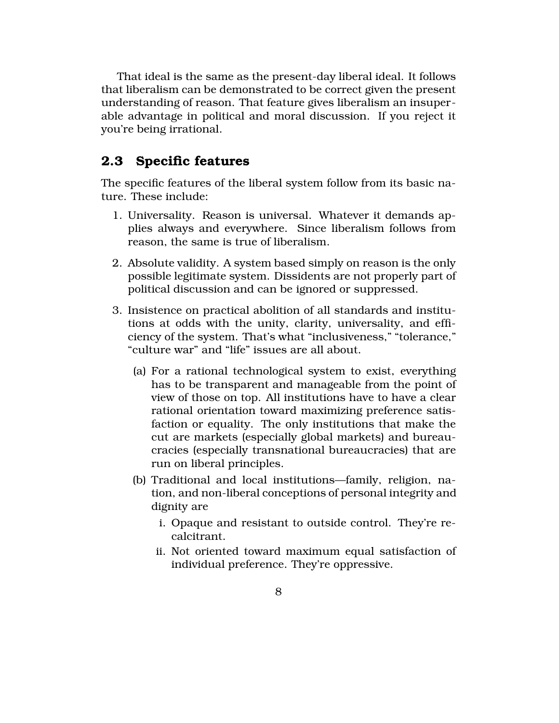That ideal is the same as the present-day liberal ideal. It follows that liberalism can be demonstrated to be correct given the present understanding of reason. That feature gives liberalism an insuperable advantage in political and moral discussion. If you reject it you're being irrational.

### 2.3 Specific features

The specific features of the liberal system follow from its basic nature. These include:

- 1. Universality. Reason is universal. Whatever it demands applies always and everywhere. Since liberalism follows from reason, the same is true of liberalism.
- 2. Absolute validity. A system based simply on reason is the only possible legitimate system. Dissidents are not properly part of political discussion and can be ignored or suppressed.
- 3. Insistence on practical abolition of all standards and institutions at odds with the unity, clarity, universality, and efficiency of the system. That's what "inclusiveness," "tolerance," "culture war" and "life" issues are all about.
	- (a) For a rational technological system to exist, everything has to be transparent and manageable from the point of view of those on top. All institutions have to have a clear rational orientation toward maximizing preference satisfaction or equality. The only institutions that make the cut are markets (especially global markets) and bureaucracies (especially transnational bureaucracies) that are run on liberal principles.
	- (b) Traditional and local institutions—family, religion, nation, and non-liberal conceptions of personal integrity and dignity are
		- i. Opaque and resistant to outside control. They're recalcitrant.
		- ii. Not oriented toward maximum equal satisfaction of individual preference. They're oppressive.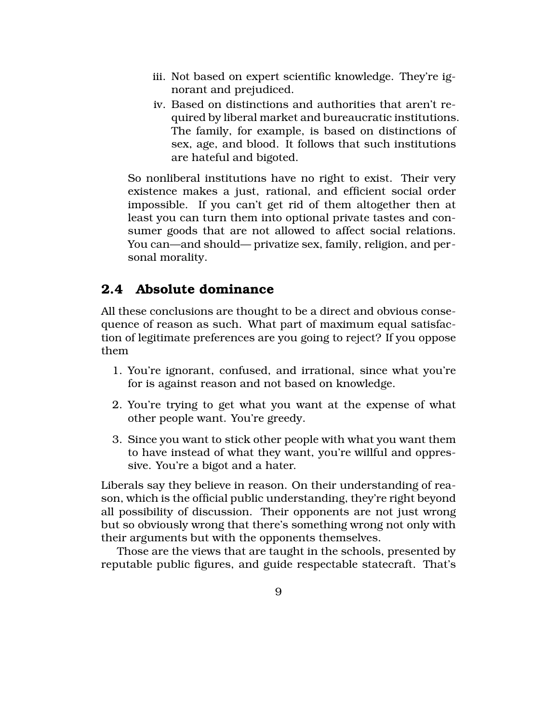- iii. Not based on expert scientific knowledge. They're ignorant and prejudiced.
- iv. Based on distinctions and authorities that aren't required by liberal market and bureaucratic institutions. The family, for example, is based on distinctions of sex, age, and blood. It follows that such institutions are hateful and bigoted.

So nonliberal institutions have no right to exist. Their very existence makes a just, rational, and efficient social order impossible. If you can't get rid of them altogether then at least you can turn them into optional private tastes and consumer goods that are not allowed to affect social relations. You can—and should— privatize sex, family, religion, and personal morality.

## 2.4 Absolute dominance

All these conclusions are thought to be a direct and obvious consequence of reason as such. What part of maximum equal satisfaction of legitimate preferences are you going to reject? If you oppose them

- 1. You're ignorant, confused, and irrational, since what you're for is against reason and not based on knowledge.
- 2. You're trying to get what you want at the expense of what other people want. You're greedy.
- 3. Since you want to stick other people with what you want them to have instead of what they want, you're willful and oppressive. You're a bigot and a hater.

Liberals say they believe in reason. On their understanding of reason, which is the official public understanding, they're right beyond all possibility of discussion. Their opponents are not just wrong but so obviously wrong that there's something wrong not only with their arguments but with the opponents themselves.

Those are the views that are taught in the schools, presented by reputable public figures, and guide respectable statecraft. That's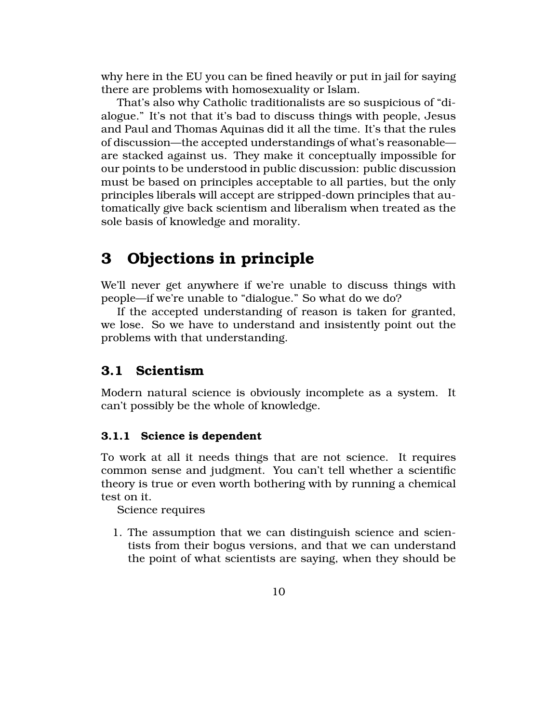why here in the EU you can be fined heavily or put in jail for saying there are problems with homosexuality or Islam.

That's also why Catholic traditionalists are so suspicious of "dialogue." It's not that it's bad to discuss things with people, Jesus and Paul and Thomas Aquinas did it all the time. It's that the rules of discussion—the accepted understandings of what's reasonable are stacked against us. They make it conceptually impossible for our points to be understood in public discussion: public discussion must be based on principles acceptable to all parties, but the only principles liberals will accept are stripped-down principles that automatically give back scientism and liberalism when treated as the sole basis of knowledge and morality.

# 3 Objections in principle

We'll never get anywhere if we're unable to discuss things with people—if we're unable to "dialogue." So what do we do?

If the accepted understanding of reason is taken for granted, we lose. So we have to understand and insistently point out the problems with that understanding.

## 3.1 Scientism

Modern natural science is obviously incomplete as a system. It can't possibly be the whole of knowledge.

### 3.1.1 Science is dependent

To work at all it needs things that are not science. It requires common sense and judgment. You can't tell whether a scientific theory is true or even worth bothering with by running a chemical test on it.

Science requires

1. The assumption that we can distinguish science and scientists from their bogus versions, and that we can understand the point of what scientists are saying, when they should be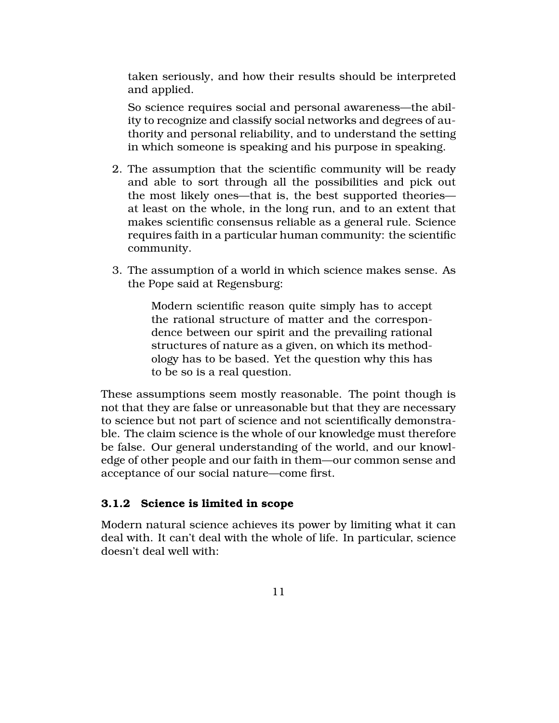taken seriously, and how their results should be interpreted and applied.

So science requires social and personal awareness—the ability to recognize and classify social networks and degrees of authority and personal reliability, and to understand the setting in which someone is speaking and his purpose in speaking.

- 2. The assumption that the scientific community will be ready and able to sort through all the possibilities and pick out the most likely ones—that is, the best supported theories at least on the whole, in the long run, and to an extent that makes scientific consensus reliable as a general rule. Science requires faith in a particular human community: the scientific community.
- 3. The assumption of a world in which science makes sense. As the Pope said at Regensburg:

Modern scientific reason quite simply has to accept the rational structure of matter and the correspondence between our spirit and the prevailing rational structures of nature as a given, on which its methodology has to be based. Yet the question why this has to be so is a real question.

These assumptions seem mostly reasonable. The point though is not that they are false or unreasonable but that they are necessary to science but not part of science and not scientifically demonstrable. The claim science is the whole of our knowledge must therefore be false. Our general understanding of the world, and our knowledge of other people and our faith in them—our common sense and acceptance of our social nature—come first.

### 3.1.2 Science is limited in scope

Modern natural science achieves its power by limiting what it can deal with. It can't deal with the whole of life. In particular, science doesn't deal well with: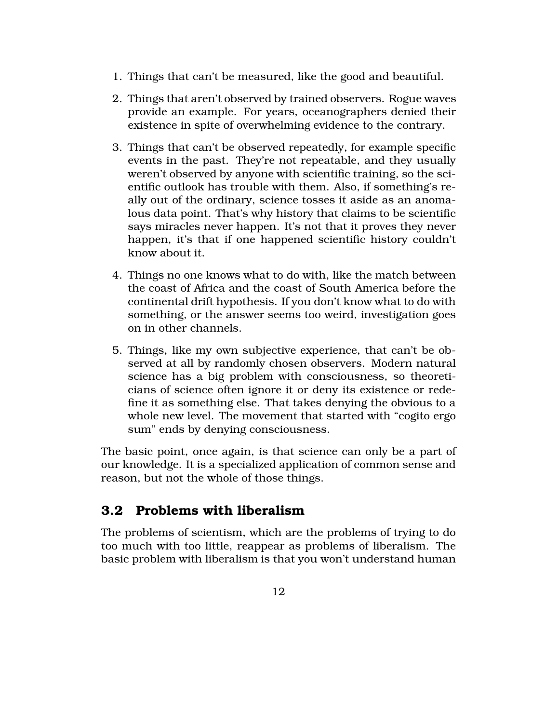- 1. Things that can't be measured, like the good and beautiful.
- 2. Things that aren't observed by trained observers. Rogue waves provide an example. For years, oceanographers denied their existence in spite of overwhelming evidence to the contrary.
- 3. Things that can't be observed repeatedly, for example specific events in the past. They're not repeatable, and they usually weren't observed by anyone with scientific training, so the scientific outlook has trouble with them. Also, if something's really out of the ordinary, science tosses it aside as an anomalous data point. That's why history that claims to be scientific says miracles never happen. It's not that it proves they never happen, it's that if one happened scientific history couldn't know about it.
- 4. Things no one knows what to do with, like the match between the coast of Africa and the coast of South America before the continental drift hypothesis. If you don't know what to do with something, or the answer seems too weird, investigation goes on in other channels.
- 5. Things, like my own subjective experience, that can't be observed at all by randomly chosen observers. Modern natural science has a big problem with consciousness, so theoreticians of science often ignore it or deny its existence or redefine it as something else. That takes denying the obvious to a whole new level. The movement that started with "cogito ergo sum" ends by denying consciousness.

The basic point, once again, is that science can only be a part of our knowledge. It is a specialized application of common sense and reason, but not the whole of those things.

## 3.2 Problems with liberalism

The problems of scientism, which are the problems of trying to do too much with too little, reappear as problems of liberalism. The basic problem with liberalism is that you won't understand human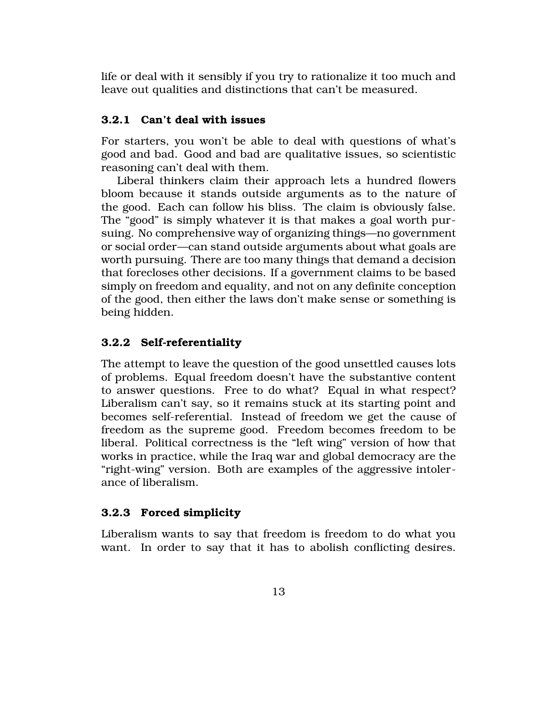life or deal with it sensibly if you try to rationalize it too much and leave out qualities and distinctions that can't be measured.

### 3.2.1 Can't deal with issues

For starters, you won't be able to deal with questions of what's good and bad. Good and bad are qualitative issues, so scientistic reasoning can't deal with them.

Liberal thinkers claim their approach lets a hundred flowers bloom because it stands outside arguments as to the nature of the good. Each can follow his bliss. The claim is obviously false. The "good" is simply whatever it is that makes a goal worth pursuing. No comprehensive way of organizing things—no government or social order—can stand outside arguments about what goals are worth pursuing. There are too many things that demand a decision that forecloses other decisions. If a government claims to be based simply on freedom and equality, and not on any definite conception of the good, then either the laws don't make sense or something is being hidden.

### 3.2.2 Self-referentiality

The attempt to leave the question of the good unsettled causes lots of problems. Equal freedom doesn't have the substantive content to answer questions. Free to do what? Equal in what respect? Liberalism can't say, so it remains stuck at its starting point and becomes self-referential. Instead of freedom we get the cause of freedom as the supreme good. Freedom becomes freedom to be liberal. Political correctness is the "left wing" version of how that works in practice, while the Iraq war and global democracy are the "right-wing" version. Both are examples of the aggressive intolerance of liberalism.

### 3.2.3 Forced simplicity

Liberalism wants to say that freedom is freedom to do what you want. In order to say that it has to abolish conflicting desires.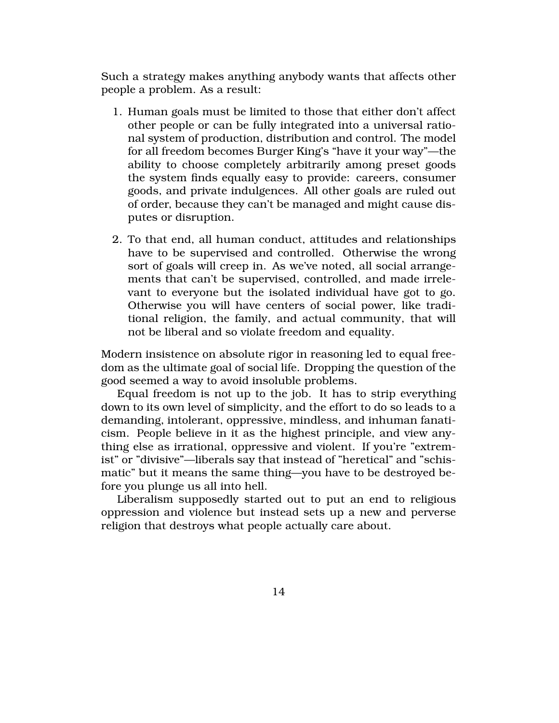Such a strategy makes anything anybody wants that affects other people a problem. As a result:

- 1. Human goals must be limited to those that either don't affect other people or can be fully integrated into a universal rational system of production, distribution and control. The model for all freedom becomes Burger King's "have it your way"—the ability to choose completely arbitrarily among preset goods the system finds equally easy to provide: careers, consumer goods, and private indulgences. All other goals are ruled out of order, because they can't be managed and might cause disputes or disruption.
- 2. To that end, all human conduct, attitudes and relationships have to be supervised and controlled. Otherwise the wrong sort of goals will creep in. As we've noted, all social arrangements that can't be supervised, controlled, and made irrelevant to everyone but the isolated individual have got to go. Otherwise you will have centers of social power, like traditional religion, the family, and actual community, that will not be liberal and so violate freedom and equality.

Modern insistence on absolute rigor in reasoning led to equal freedom as the ultimate goal of social life. Dropping the question of the good seemed a way to avoid insoluble problems.

Equal freedom is not up to the job. It has to strip everything down to its own level of simplicity, and the effort to do so leads to a demanding, intolerant, oppressive, mindless, and inhuman fanaticism. People believe in it as the highest principle, and view anything else as irrational, oppressive and violent. If you're "extremist" or "divisive"—liberals say that instead of "heretical" and "schismatic" but it means the same thing—you have to be destroyed before you plunge us all into hell.

Liberalism supposedly started out to put an end to religious oppression and violence but instead sets up a new and perverse religion that destroys what people actually care about.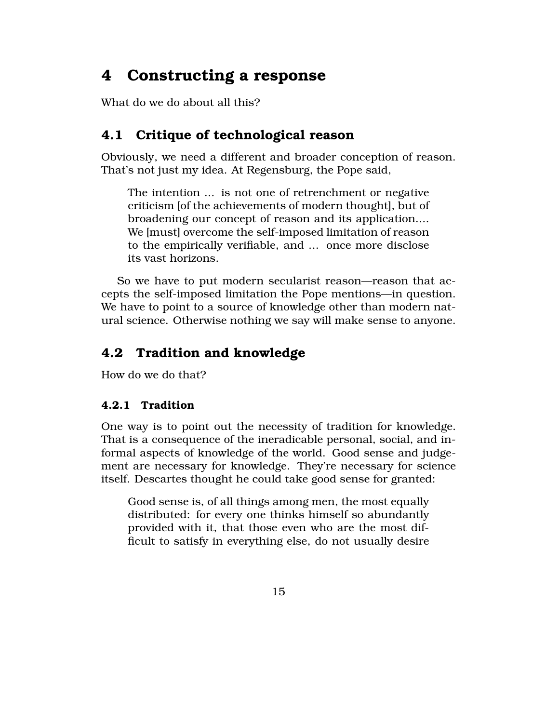# 4 Constructing a response

What do we do about all this?

## 4.1 Critique of technological reason

Obviously, we need a different and broader conception of reason. That's not just my idea. At Regensburg, the Pope said,

The intention ... is not one of retrenchment or negative criticism [of the achievements of modern thought], but of broadening our concept of reason and its application.... We [must] overcome the self-imposed limitation of reason to the empirically verifiable, and ... once more disclose its vast horizons.

So we have to put modern secularist reason—reason that accepts the self-imposed limitation the Pope mentions—in question. We have to point to a source of knowledge other than modern natural science. Otherwise nothing we say will make sense to anyone.

## 4.2 Tradition and knowledge

How do we do that?

### 4.2.1 Tradition

One way is to point out the necessity of tradition for knowledge. That is a consequence of the ineradicable personal, social, and informal aspects of knowledge of the world. Good sense and judgement are necessary for knowledge. They're necessary for science itself. Descartes thought he could take good sense for granted:

Good sense is, of all things among men, the most equally distributed: for every one thinks himself so abundantly provided with it, that those even who are the most difficult to satisfy in everything else, do not usually desire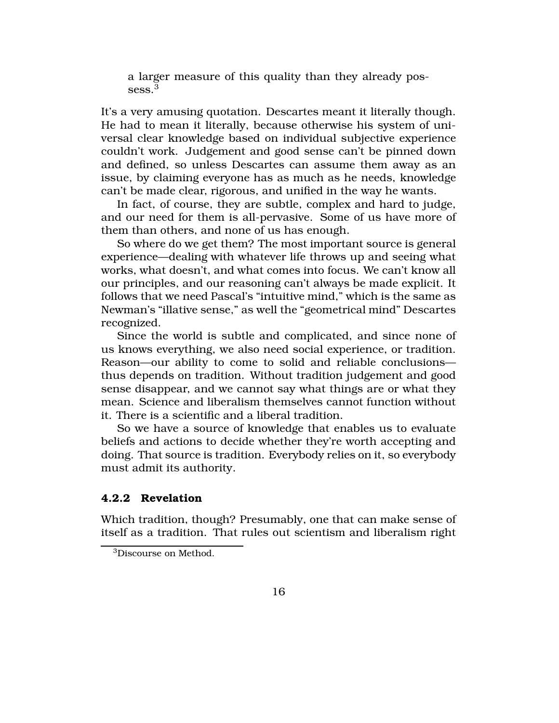a larger measure of this quality than they already possess.<sup>3</sup>

It's a very amusing quotation. Descartes meant it literally though. He had to mean it literally, because otherwise his system of universal clear knowledge based on individual subjective experience couldn't work. Judgement and good sense can't be pinned down and defined, so unless Descartes can assume them away as an issue, by claiming everyone has as much as he needs, knowledge can't be made clear, rigorous, and unified in the way he wants.

In fact, of course, they are subtle, complex and hard to judge, and our need for them is all-pervasive. Some of us have more of them than others, and none of us has enough.

So where do we get them? The most important source is general experience—dealing with whatever life throws up and seeing what works, what doesn't, and what comes into focus. We can't know all our principles, and our reasoning can't always be made explicit. It follows that we need Pascal's "intuitive mind," which is the same as Newman's "illative sense," as well the "geometrical mind" Descartes recognized.

Since the world is subtle and complicated, and since none of us knows everything, we also need social experience, or tradition. Reason—our ability to come to solid and reliable conclusions thus depends on tradition. Without tradition judgement and good sense disappear, and we cannot say what things are or what they mean. Science and liberalism themselves cannot function without it. There is a scientific and a liberal tradition.

So we have a source of knowledge that enables us to evaluate beliefs and actions to decide whether they're worth accepting and doing. That source is tradition. Everybody relies on it, so everybody must admit its authority.

#### 4.2.2 Revelation

Which tradition, though? Presumably, one that can make sense of itself as a tradition. That rules out scientism and liberalism right

<sup>3</sup>Discourse on Method.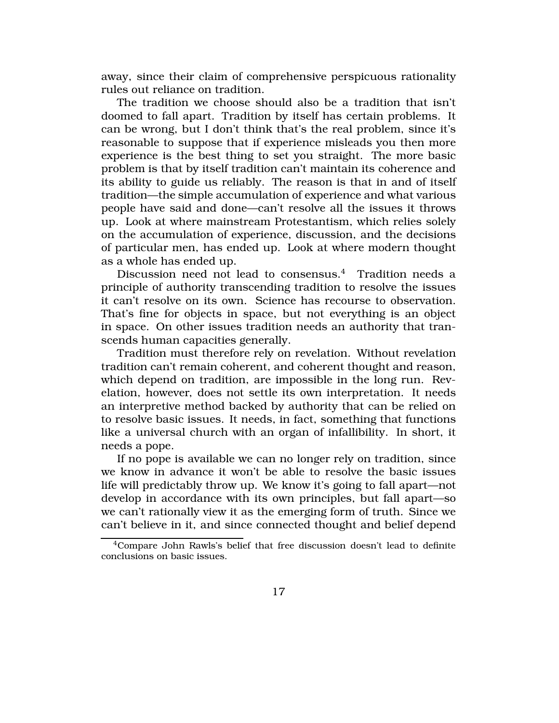away, since their claim of comprehensive perspicuous rationality rules out reliance on tradition.

The tradition we choose should also be a tradition that isn't doomed to fall apart. Tradition by itself has certain problems. It can be wrong, but I don't think that's the real problem, since it's reasonable to suppose that if experience misleads you then more experience is the best thing to set you straight. The more basic problem is that by itself tradition can't maintain its coherence and its ability to guide us reliably. The reason is that in and of itself tradition—the simple accumulation of experience and what various people have said and done—can't resolve all the issues it throws up. Look at where mainstream Protestantism, which relies solely on the accumulation of experience, discussion, and the decisions of particular men, has ended up. Look at where modern thought as a whole has ended up.

Discussion need not lead to consensus.<sup>4</sup> Tradition needs a principle of authority transcending tradition to resolve the issues it can't resolve on its own. Science has recourse to observation. That's fine for objects in space, but not everything is an object in space. On other issues tradition needs an authority that transcends human capacities generally.

Tradition must therefore rely on revelation. Without revelation tradition can't remain coherent, and coherent thought and reason, which depend on tradition, are impossible in the long run. Revelation, however, does not settle its own interpretation. It needs an interpretive method backed by authority that can be relied on to resolve basic issues. It needs, in fact, something that functions like a universal church with an organ of infallibility. In short, it needs a pope.

If no pope is available we can no longer rely on tradition, since we know in advance it won't be able to resolve the basic issues life will predictably throw up. We know it's going to fall apart—not develop in accordance with its own principles, but fall apart—so we can't rationally view it as the emerging form of truth. Since we can't believe in it, and since connected thought and belief depend

<sup>4</sup>Compare John Rawls's belief that free discussion doesn't lead to definite conclusions on basic issues.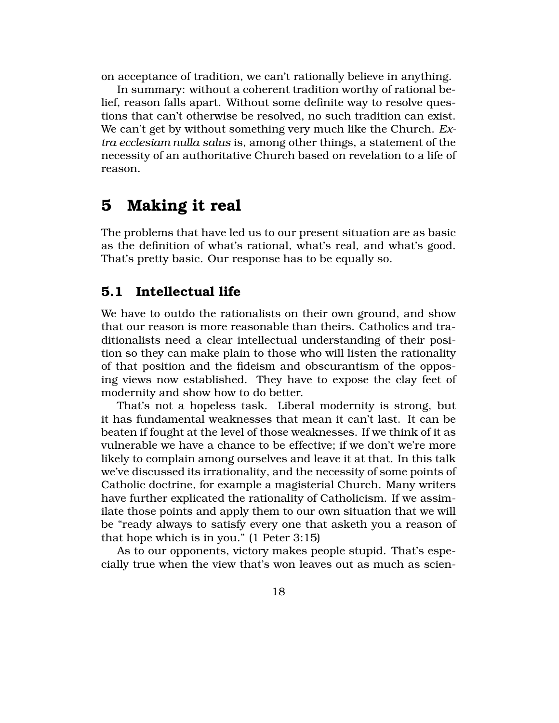on acceptance of tradition, we can't rationally believe in anything.

In summary: without a coherent tradition worthy of rational belief, reason falls apart. Without some definite way to resolve questions that can't otherwise be resolved, no such tradition can exist. We can't get by without something very much like the Church. *Extra ecclesiam nulla salus* is, among other things, a statement of the necessity of an authoritative Church based on revelation to a life of reason.

# 5 Making it real

The problems that have led us to our present situation are as basic as the definition of what's rational, what's real, and what's good. That's pretty basic. Our response has to be equally so.

## 5.1 Intellectual life

We have to outdo the rationalists on their own ground, and show that our reason is more reasonable than theirs. Catholics and traditionalists need a clear intellectual understanding of their position so they can make plain to those who will listen the rationality of that position and the fideism and obscurantism of the opposing views now established. They have to expose the clay feet of modernity and show how to do better.

That's not a hopeless task. Liberal modernity is strong, but it has fundamental weaknesses that mean it can't last. It can be beaten if fought at the level of those weaknesses. If we think of it as vulnerable we have a chance to be effective; if we don't we're more likely to complain among ourselves and leave it at that. In this talk we've discussed its irrationality, and the necessity of some points of Catholic doctrine, for example a magisterial Church. Many writers have further explicated the rationality of Catholicism. If we assimilate those points and apply them to our own situation that we will be "ready always to satisfy every one that asketh you a reason of that hope which is in you." (1 Peter 3:15)

As to our opponents, victory makes people stupid. That's especially true when the view that's won leaves out as much as scien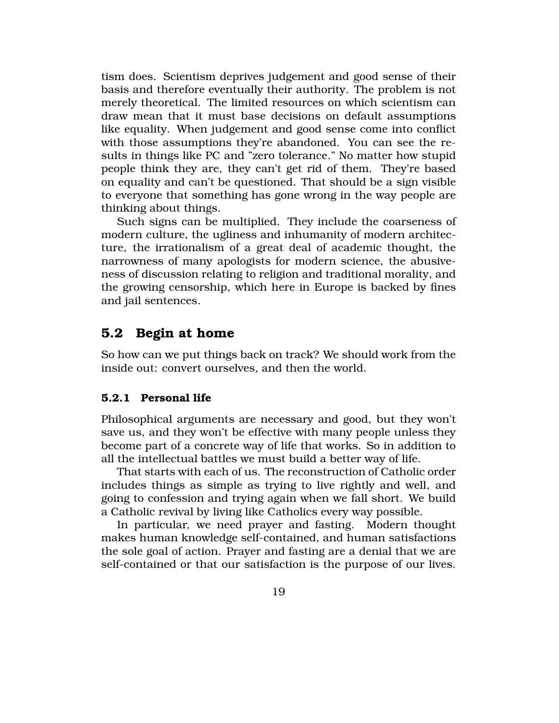tism does. Scientism deprives judgement and good sense of their basis and therefore eventually their authority. The problem is not merely theoretical. The limited resources on which scientism can draw mean that it must base decisions on default assumptions like equality. When judgement and good sense come into conflict with those assumptions they're abandoned. You can see the results in things like PC and "zero tolerance." No matter how stupid people think they are, they can't get rid of them. They're based on equality and can't be questioned. That should be a sign visible to everyone that something has gone wrong in the way people are thinking about things.

Such signs can be multiplied. They include the coarseness of modern culture, the ugliness and inhumanity of modern architecture, the irrationalism of a great deal of academic thought, the narrowness of many apologists for modern science, the abusiveness of discussion relating to religion and traditional morality, and the growing censorship, which here in Europe is backed by fines and jail sentences.

### 5.2 Begin at home

So how can we put things back on track? We should work from the inside out: convert ourselves, and then the world.

#### 5.2.1 Personal life

Philosophical arguments are necessary and good, but they won't save us, and they won't be effective with many people unless they become part of a concrete way of life that works. So in addition to all the intellectual battles we must build a better way of life.

That starts with each of us. The reconstruction of Catholic order includes things as simple as trying to live rightly and well, and going to confession and trying again when we fall short. We build a Catholic revival by living like Catholics every way possible.

In particular, we need prayer and fasting. Modern thought makes human knowledge self-contained, and human satisfactions the sole goal of action. Prayer and fasting are a denial that we are self-contained or that our satisfaction is the purpose of our lives.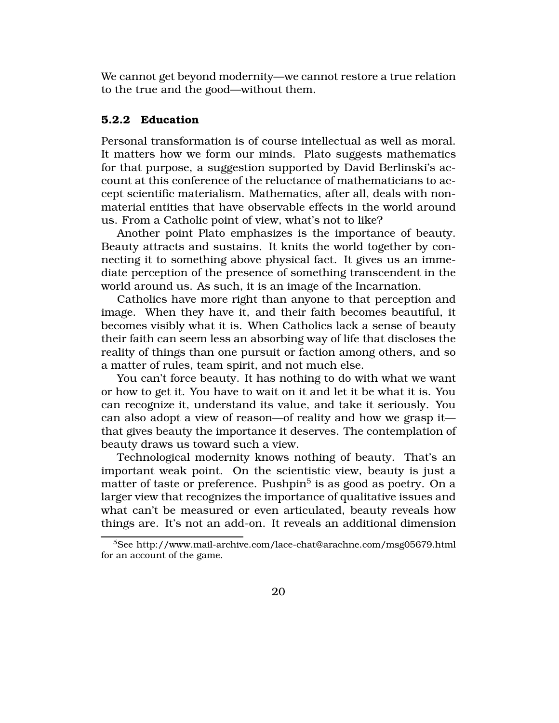We cannot get beyond modernity—we cannot restore a true relation to the true and the good—without them.

#### 5.2.2 Education

Personal transformation is of course intellectual as well as moral. It matters how we form our minds. Plato suggests mathematics for that purpose, a suggestion supported by David Berlinski's account at this conference of the reluctance of mathematicians to accept scientific materialism. Mathematics, after all, deals with nonmaterial entities that have observable effects in the world around us. From a Catholic point of view, what's not to like?

Another point Plato emphasizes is the importance of beauty. Beauty attracts and sustains. It knits the world together by connecting it to something above physical fact. It gives us an immediate perception of the presence of something transcendent in the world around us. As such, it is an image of the Incarnation.

Catholics have more right than anyone to that perception and image. When they have it, and their faith becomes beautiful, it becomes visibly what it is. When Catholics lack a sense of beauty their faith can seem less an absorbing way of life that discloses the reality of things than one pursuit or faction among others, and so a matter of rules, team spirit, and not much else.

You can't force beauty. It has nothing to do with what we want or how to get it. You have to wait on it and let it be what it is. You can recognize it, understand its value, and take it seriously. You can also adopt a view of reason—of reality and how we grasp it that gives beauty the importance it deserves. The contemplation of beauty draws us toward such a view.

Technological modernity knows nothing of beauty. That's an important weak point. On the scientistic view, beauty is just a matter of taste or preference. Pushpin $^5$  is as good as poetry. On a larger view that recognizes the importance of qualitative issues and what can't be measured or even articulated, beauty reveals how things are. It's not an add-on. It reveals an additional dimension

<sup>5</sup>See http://www.mail-archive.com/lace-chat@arachne.com/msg05679.html for an account of the game.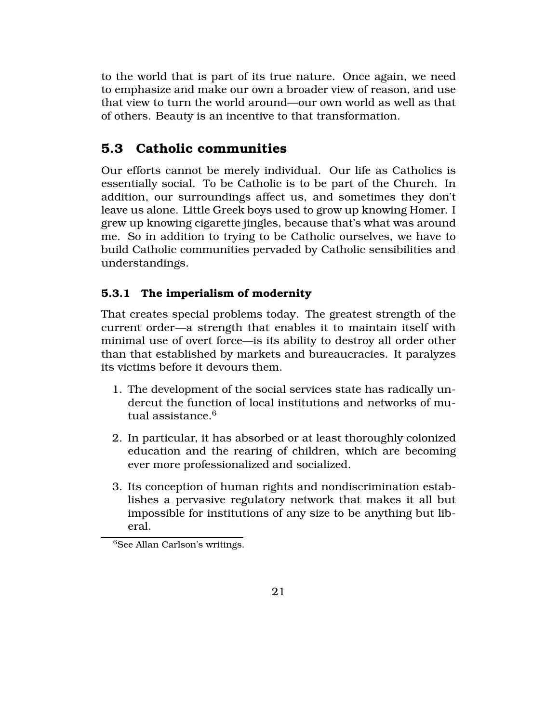to the world that is part of its true nature. Once again, we need to emphasize and make our own a broader view of reason, and use that view to turn the world around—our own world as well as that of others. Beauty is an incentive to that transformation.

## 5.3 Catholic communities

Our efforts cannot be merely individual. Our life as Catholics is essentially social. To be Catholic is to be part of the Church. In addition, our surroundings affect us, and sometimes they don't leave us alone. Little Greek boys used to grow up knowing Homer. I grew up knowing cigarette jingles, because that's what was around me. So in addition to trying to be Catholic ourselves, we have to build Catholic communities pervaded by Catholic sensibilities and understandings.

### 5.3.1 The imperialism of modernity

That creates special problems today. The greatest strength of the current order—a strength that enables it to maintain itself with minimal use of overt force—is its ability to destroy all order other than that established by markets and bureaucracies. It paralyzes its victims before it devours them.

- 1. The development of the social services state has radically undercut the function of local institutions and networks of mutual assistance.<sup>6</sup>
- 2. In particular, it has absorbed or at least thoroughly colonized education and the rearing of children, which are becoming ever more professionalized and socialized.
- 3. Its conception of human rights and nondiscrimination establishes a pervasive regulatory network that makes it all but impossible for institutions of any size to be anything but liberal.

<sup>6</sup>See Allan Carlson's writings.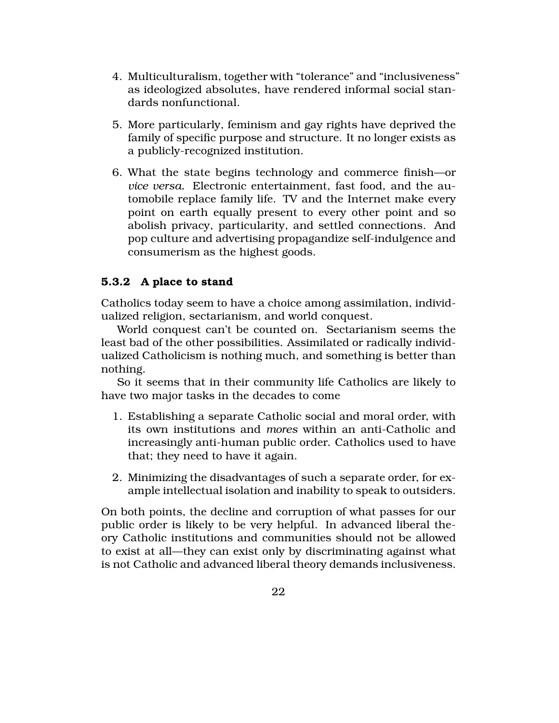- 4. Multiculturalism, together with "tolerance" and "inclusiveness" as ideologized absolutes, have rendered informal social standards nonfunctional.
- 5. More particularly, feminism and gay rights have deprived the family of specific purpose and structure. It no longer exists as a publicly-recognized institution.
- 6. What the state begins technology and commerce finish—or *vice versa.* Electronic entertainment, fast food, and the automobile replace family life. TV and the Internet make every point on earth equally present to every other point and so abolish privacy, particularity, and settled connections. And pop culture and advertising propagandize self-indulgence and consumerism as the highest goods.

### 5.3.2 A place to stand

Catholics today seem to have a choice among assimilation, individualized religion, sectarianism, and world conquest.

World conquest can't be counted on. Sectarianism seems the least bad of the other possibilities. Assimilated or radically individualized Catholicism is nothing much, and something is better than nothing.

So it seems that in their community life Catholics are likely to have two major tasks in the decades to come

- 1. Establishing a separate Catholic social and moral order, with its own institutions and *mores* within an anti-Catholic and increasingly anti-human public order. Catholics used to have that; they need to have it again.
- 2. Minimizing the disadvantages of such a separate order, for example intellectual isolation and inability to speak to outsiders.

On both points, the decline and corruption of what passes for our public order is likely to be very helpful. In advanced liberal theory Catholic institutions and communities should not be allowed to exist at all—they can exist only by discriminating against what is not Catholic and advanced liberal theory demands inclusiveness.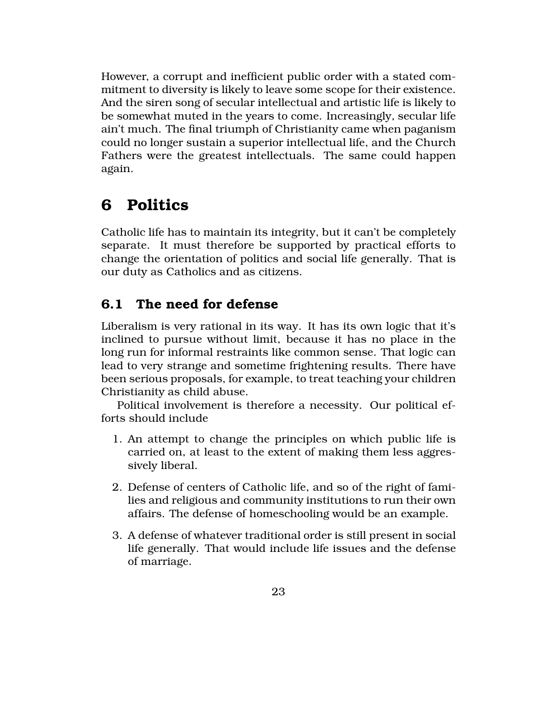However, a corrupt and inefficient public order with a stated commitment to diversity is likely to leave some scope for their existence. And the siren song of secular intellectual and artistic life is likely to be somewhat muted in the years to come. Increasingly, secular life ain't much. The final triumph of Christianity came when paganism could no longer sustain a superior intellectual life, and the Church Fathers were the greatest intellectuals. The same could happen again.

# 6 Politics

Catholic life has to maintain its integrity, but it can't be completely separate. It must therefore be supported by practical efforts to change the orientation of politics and social life generally. That is our duty as Catholics and as citizens.

## 6.1 The need for defense

Liberalism is very rational in its way. It has its own logic that it's inclined to pursue without limit, because it has no place in the long run for informal restraints like common sense. That logic can lead to very strange and sometime frightening results. There have been serious proposals, for example, to treat teaching your children Christianity as child abuse.

Political involvement is therefore a necessity. Our political efforts should include

- 1. An attempt to change the principles on which public life is carried on, at least to the extent of making them less aggressively liberal.
- 2. Defense of centers of Catholic life, and so of the right of families and religious and community institutions to run their own affairs. The defense of homeschooling would be an example.
- 3. A defense of whatever traditional order is still present in social life generally. That would include life issues and the defense of marriage.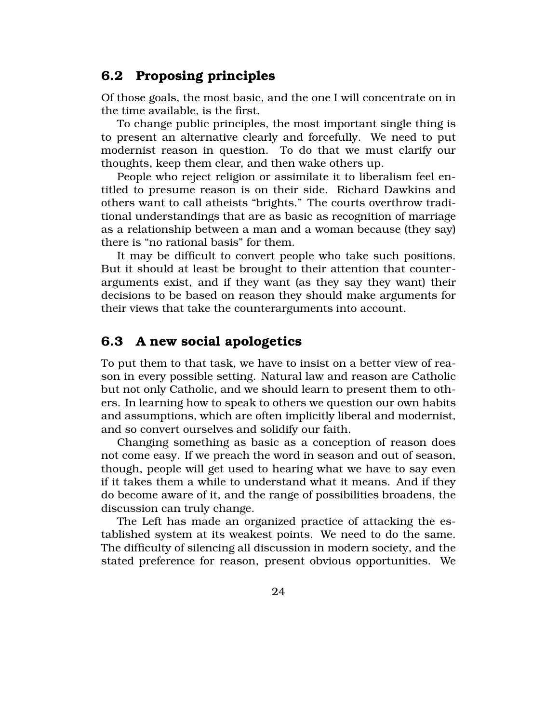## 6.2 Proposing principles

Of those goals, the most basic, and the one I will concentrate on in the time available, is the first.

To change public principles, the most important single thing is to present an alternative clearly and forcefully. We need to put modernist reason in question. To do that we must clarify our thoughts, keep them clear, and then wake others up.

People who reject religion or assimilate it to liberalism feel entitled to presume reason is on their side. Richard Dawkins and others want to call atheists "brights." The courts overthrow traditional understandings that are as basic as recognition of marriage as a relationship between a man and a woman because (they say) there is "no rational basis" for them.

It may be difficult to convert people who take such positions. But it should at least be brought to their attention that counterarguments exist, and if they want (as they say they want) their decisions to be based on reason they should make arguments for their views that take the counterarguments into account.

### 6.3 A new social apologetics

To put them to that task, we have to insist on a better view of reason in every possible setting. Natural law and reason are Catholic but not only Catholic, and we should learn to present them to others. In learning how to speak to others we question our own habits and assumptions, which are often implicitly liberal and modernist, and so convert ourselves and solidify our faith.

Changing something as basic as a conception of reason does not come easy. If we preach the word in season and out of season, though, people will get used to hearing what we have to say even if it takes them a while to understand what it means. And if they do become aware of it, and the range of possibilities broadens, the discussion can truly change.

The Left has made an organized practice of attacking the established system at its weakest points. We need to do the same. The difficulty of silencing all discussion in modern society, and the stated preference for reason, present obvious opportunities. We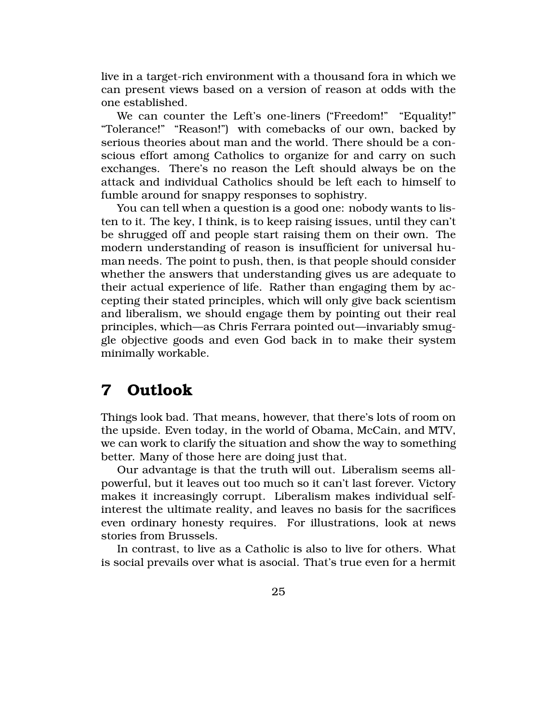live in a target-rich environment with a thousand fora in which we can present views based on a version of reason at odds with the one established.

We can counter the Left's one-liners ("Freedom!" "Equality!" "Tolerance!" "Reason!") with comebacks of our own, backed by serious theories about man and the world. There should be a conscious effort among Catholics to organize for and carry on such exchanges. There's no reason the Left should always be on the attack and individual Catholics should be left each to himself to fumble around for snappy responses to sophistry.

You can tell when a question is a good one: nobody wants to listen to it. The key, I think, is to keep raising issues, until they can't be shrugged off and people start raising them on their own. The modern understanding of reason is insufficient for universal human needs. The point to push, then, is that people should consider whether the answers that understanding gives us are adequate to their actual experience of life. Rather than engaging them by accepting their stated principles, which will only give back scientism and liberalism, we should engage them by pointing out their real principles, which—as Chris Ferrara pointed out—invariably smuggle objective goods and even God back in to make their system minimally workable.

## 7 Outlook

Things look bad. That means, however, that there's lots of room on the upside. Even today, in the world of Obama, McCain, and MTV, we can work to clarify the situation and show the way to something better. Many of those here are doing just that.

Our advantage is that the truth will out. Liberalism seems allpowerful, but it leaves out too much so it can't last forever. Victory makes it increasingly corrupt. Liberalism makes individual selfinterest the ultimate reality, and leaves no basis for the sacrifices even ordinary honesty requires. For illustrations, look at news stories from Brussels.

In contrast, to live as a Catholic is also to live for others. What is social prevails over what is asocial. That's true even for a hermit